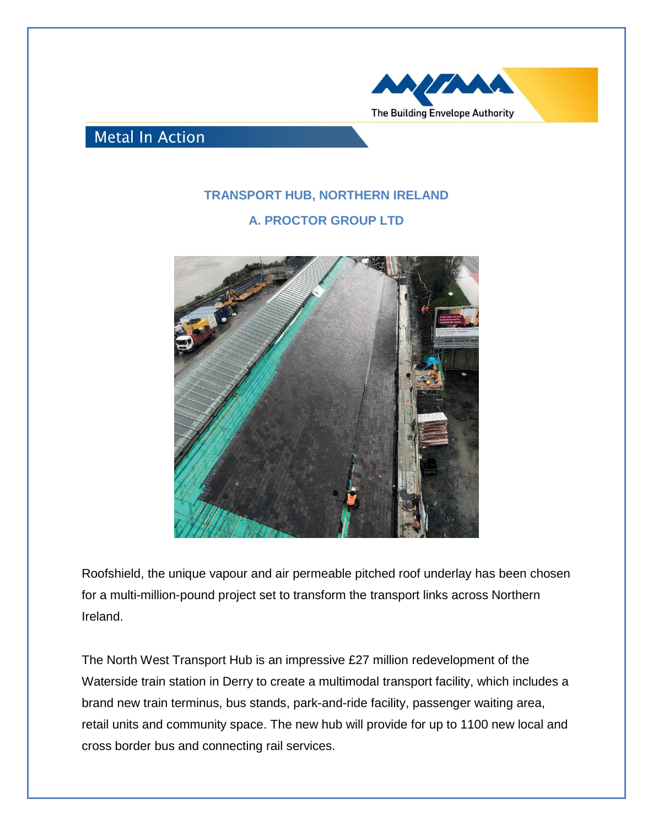

**Metal In Action** 

## **TRANSPORT HUB, NORTHERN IRELAND**

**A. PROCTOR GROUP LTD**



Roofshield, the unique vapour and air permeable pitched roof underlay has been chosen for a multi-million-pound project set to transform the transport links across Northern Ireland.

The North West Transport Hub is an impressive £27 million redevelopment of the Waterside train station in Derry to create a multimodal transport facility, which includes a brand new train terminus, bus stands, park-and-ride facility, passenger waiting area, retail units and community space. The new hub will provide for up to 1100 new local and cross border bus and connecting rail services.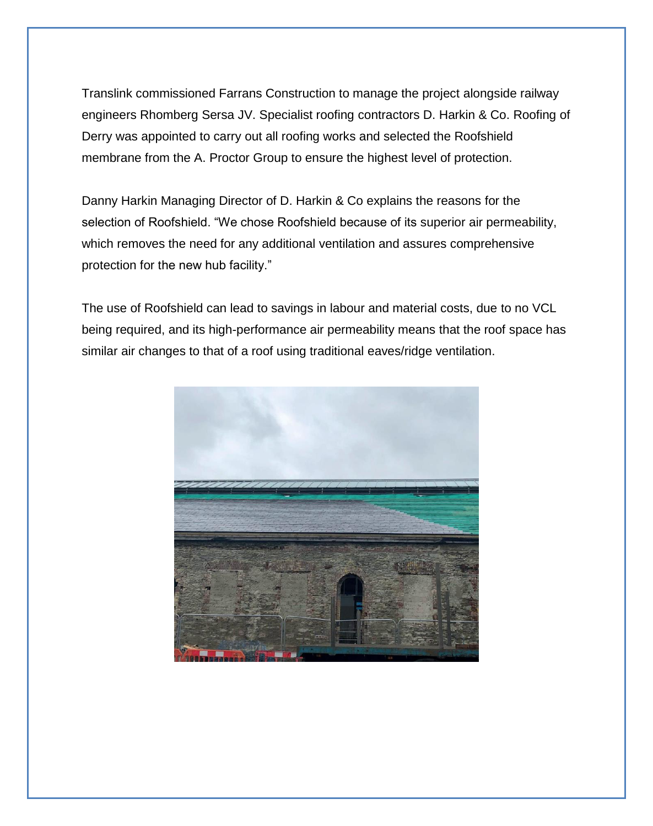Translink commissioned Farrans Construction to manage the project alongside railway engineers Rhomberg Sersa JV. Specialist roofing contractors D. Harkin & Co. Roofing of Derry was appointed to carry out all roofing works and selected the Roofshield membrane from the A. Proctor Group to ensure the highest level of protection.

Danny Harkin Managing Director of D. Harkin & Co explains the reasons for the selection of Roofshield. "We chose Roofshield because of its superior air permeability, which removes the need for any additional ventilation and assures comprehensive protection for the new hub facility."

The use of Roofshield can lead to savings in labour and material costs, due to no VCL being required, and its high-performance air permeability means that the roof space has similar air changes to that of a roof using traditional eaves/ridge ventilation.